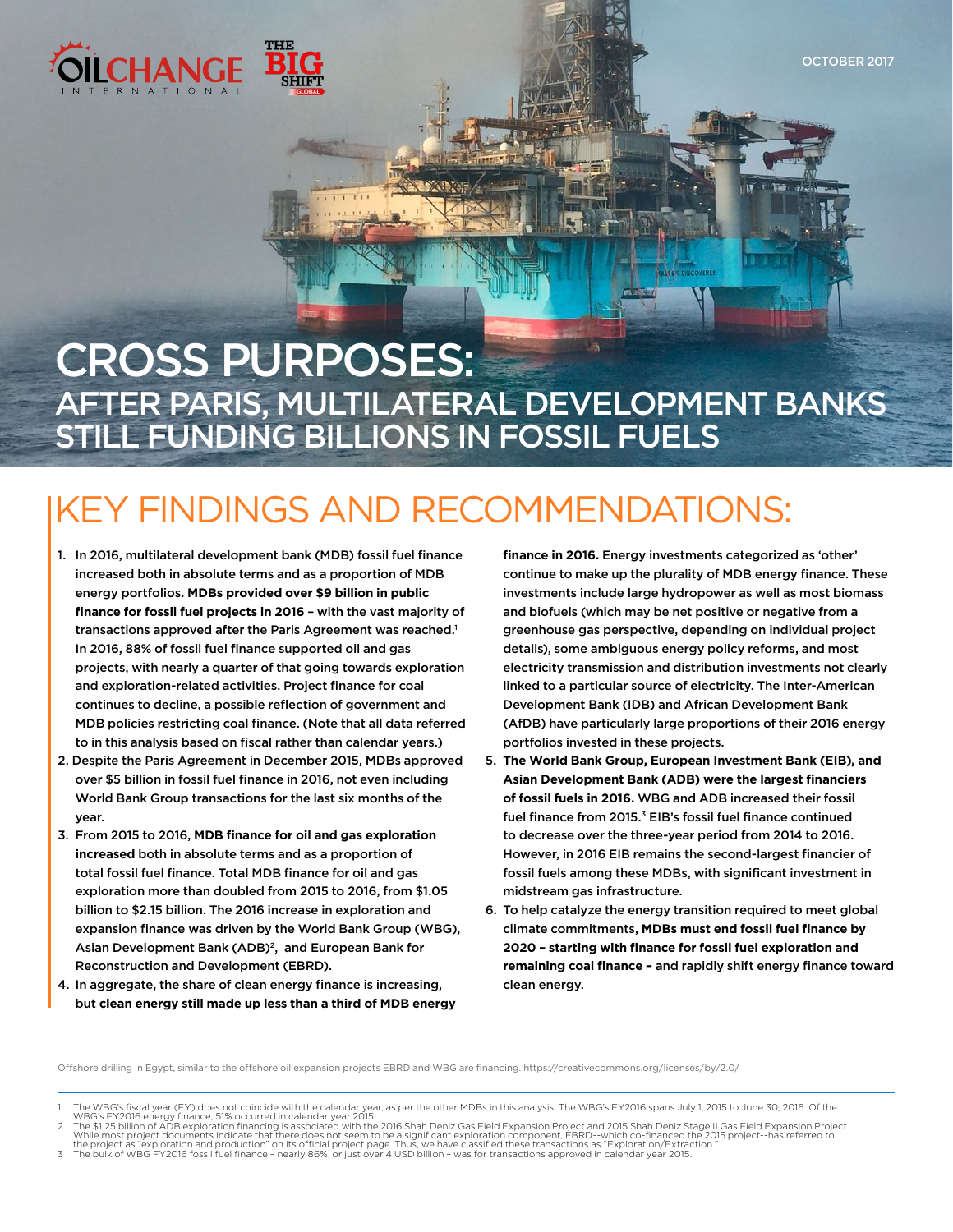

OCTOBER 2017

## CROSS PURPOSES: AFTER PARIS, MULTILATERAL DEVELOPMENT BANKS STILL FUNDING BILLIONS IN FOSSIL FUELS

# KEY FINDINGS AND RECOMMENDATIONS:

- 1. In 2016, multilateral development bank (MDB) fossil fuel finance increased both in absolute terms and as a proportion of MDB energy portfolios. **MDBs provided over \$9 billion in public finance for fossil fuel projects in 2016** – with the vast majority of transactions approved after the Paris Agreement was reached.<sup>1</sup> In 2016, 88% of fossil fuel finance supported oil and gas projects, with nearly a quarter of that going towards exploration and exploration-related activities. Project finance for coal continues to decline, a possible reflection of government and MDB policies restricting coal finance. (Note that all data referred to in this analysis based on fiscal rather than calendar years.)
- 2. Despite the Paris Agreement in December 2015, MDBs approved over \$5 billion in fossil fuel finance in 2016, not even including World Bank Group transactions for the last six months of the year.
- 3. From 2015 to 2016, **MDB finance for oil and gas exploration increased** both in absolute terms and as a proportion of total fossil fuel finance. Total MDB finance for oil and gas exploration more than doubled from 2015 to 2016, from \$1.05 billion to \$2.15 billion. The 2016 increase in exploration and expansion finance was driven by the World Bank Group (WBG), Asian Development Bank (ADB)2, and European Bank for Reconstruction and Development (EBRD).
- 4. In aggregate, the share of clean energy finance is increasing, but **clean energy still made up less than a third of MDB energy**

**finance in 2016.** Energy investments categorized as 'other' continue to make up the plurality of MDB energy finance. These investments include large hydropower as well as most biomass and biofuels (which may be net positive or negative from a greenhouse gas perspective, depending on individual project details), some ambiguous energy policy reforms, and most electricity transmission and distribution investments not clearly linked to a particular source of electricity. The Inter-American Development Bank (IDB) and African Development Bank (AfDB) have particularly large proportions of their 2016 energy portfolios invested in these projects.

**AFRAK DISCOVERED** 

- 5. **The World Bank Group, European Investment Bank (EIB), and Asian Development Bank (ADB) were the largest financiers of fossil fuels in 2016.** WBG and ADB increased their fossil fuel finance from 2015.<sup>3</sup> EIB's fossil fuel finance continued to decrease over the three-year period from 2014 to 2016. However, in 2016 EIB remains the second-largest financier of fossil fuels among these MDBs, with significant investment in midstream gas infrastructure.
- 6. To help catalyze the energy transition required to meet global climate commitments, **MDBs must end fossil fuel finance by 2020 – starting with finance for fossil fuel exploration and remaining coal finance –** and rapidly shift energy finance toward clean energy.

Offshore drilling in Egypt, similar to the offshore oil expansion projects EBRD and WBG are financing. https://creativecommons.org/licenses/by/2.0/

The WBG's fiscal year (FY) does not coincide with the calendar year, as per the other MDBs in this analysis. The WBG's FY2016 spans July 1, 2015 to June 30, 2016. Of the

WBG's FY2016 energy finance, 51% occurred in calendar year 2015.<br>2 The \$1.25 billion of ADB exploration financing is associated with the 2016 Shah Deniz Gas Field Expansion Project. While most project documents indicate that there does not seem to be a significant exploration component, EBRD--which co-financed the 2015 project--has referred to<br>the project as "exploration and production" on its officia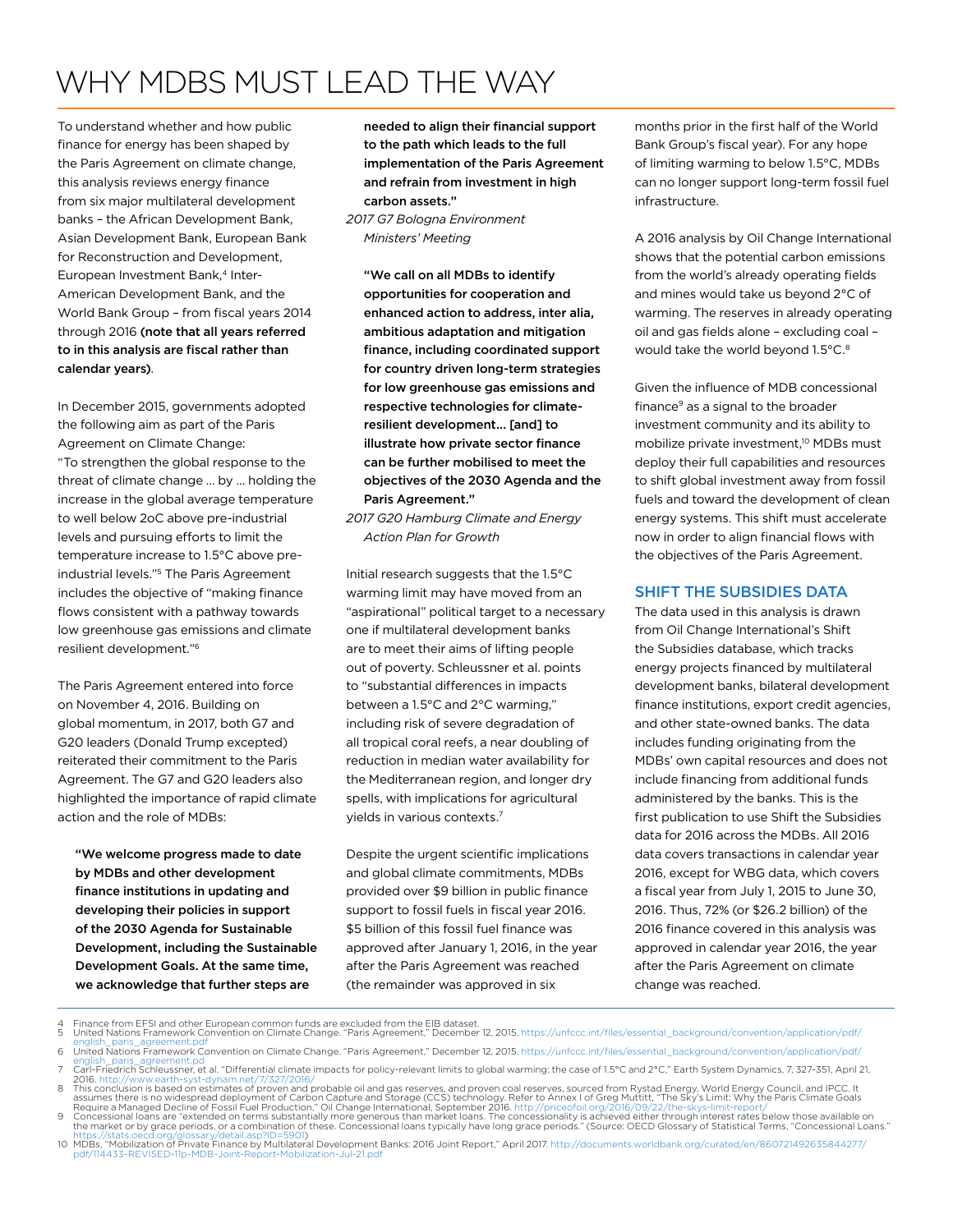### WHY MDBS MUST LEAD THE WAY

To understand whether and how public finance for energy has been shaped by the Paris Agreement on climate change, this analysis reviews energy finance from six major multilateral development banks – the African Development Bank, Asian Development Bank, European Bank for Reconstruction and Development, European Investment Bank,<sup>4</sup> Inter-American Development Bank, and the World Bank Group – from fiscal years 2014 through 2016 (note that all years referred to in this analysis are fiscal rather than calendar years).

In December 2015, governments adopted the following aim as part of the Paris Agreement on Climate Change: "To strengthen the global response to the threat of climate change … by … holding the increase in the global average temperature to well below 2oC above pre-industrial levels and pursuing efforts to limit the temperature increase to 1.5°C above preindustrial levels."5 The Paris Agreement includes the objective of "making finance flows consistent with a pathway towards low greenhouse gas emissions and climate resilient development."6

The Paris Agreement entered into force on November 4, 2016. Building on global momentum, in 2017, both G7 and G20 leaders (Donald Trump excepted) reiterated their commitment to the Paris Agreement. The G7 and G20 leaders also highlighted the importance of rapid climate action and the role of MDBs:

 "We welcome progress made to date by MDBs and other development finance institutions in updating and developing their policies in support of the 2030 Agenda for Sustainable Development, including the Sustainable Development Goals. At the same time, we acknowledge that further steps are

needed to align their financial support to the path which leads to the full implementation of the Paris Agreement and refrain from investment in high carbon assets."

*2017 G7 Bologna Environment Ministers' Meeting*

 "We call on all MDBs to identify opportunities for cooperation and enhanced action to address, inter alia, ambitious adaptation and mitigation finance, including coordinated support for country driven long-term strategies for low greenhouse gas emissions and respective technologies for climateresilient development... [and] to illustrate how private sector finance can be further mobilised to meet the objectives of the 2030 Agenda and the Paris Agreement."

*2017 G20 Hamburg Climate and Energy Action Plan for Growth* 

Initial research suggests that the 1.5°C warming limit may have moved from an "aspirational" political target to a necessary one if multilateral development banks are to meet their aims of lifting people out of poverty. Schleussner et al. points to "substantial differences in impacts between a 1.5°C and 2°C warming," including risk of severe degradation of all tropical coral reefs, a near doubling of reduction in median water availability for the Mediterranean region, and longer dry spells, with implications for agricultural yields in various contexts.7

Despite the urgent scientific implications and global climate commitments, MDBs provided over \$9 billion in public finance support to fossil fuels in fiscal year 2016. \$5 billion of this fossil fuel finance was approved after January 1, 2016, in the year after the Paris Agreement was reached (the remainder was approved in six

months prior in the first half of the World Bank Group's fiscal year). For any hope of limiting warming to below 1.5°C, MDBs can no longer support long-term fossil fuel infrastructure.

A 2016 analysis by Oil Change International shows that the potential carbon emissions from the world's already operating fields and mines would take us beyond 2°C of warming. The reserves in already operating oil and gas fields alone – excluding coal – would take the world beyond 1.5°C.<sup>8</sup>

Given the influence of MDB concessional finance $9$  as a signal to the broader investment community and its ability to mobilize private investment,<sup>10</sup> MDBs must deploy their full capabilities and resources to shift global investment away from fossil fuels and toward the development of clean energy systems. This shift must accelerate now in order to align financial flows with the objectives of the Paris Agreement.

#### SHIFT THE SUBSIDIES DATA

The data used in this analysis is drawn from Oil Change International's Shift the Subsidies database, which tracks energy projects financed by multilateral development banks, bilateral development finance institutions, export credit agencies, and other state-owned banks. The data includes funding originating from the MDBs' own capital resources and does not include financing from additional funds administered by the banks. This is the first publication to use Shift the Subsidies data for 2016 across the MDBs. All 2016 data covers transactions in calendar year 2016, except for WBG data, which covers a fiscal year from July 1, 2015 to June 30, 2016. Thus, 72% (or \$26.2 billion) of the 2016 finance covered in this analysis was approved in calendar year 2016, the year after the Paris Agreement on climate change was reached.

<sup>4</sup> Finance from EFSI and other European common funds are excluded from the EIB dataset.<br>5 United Nations Framework Convention on Climate Change "Paris Agreement" December

United Nations Framework Convention on Climate Change. "Paris Agreement," December 12, 2015. [https://unfccc.int/files/essential\\_background/convention/application/pdf/](https://unfccc.int/files/essential_background/convention/application/pdf/english_paris_agreement.pdf) [english\\_paris\\_agreement.pdf](https://unfccc.int/files/essential_background/convention/application/pdf/english_paris_agreement.pdf) 6 United Nations Framework Convention on Climate Change. "Paris Agreement," December 12, 2015. https://unfccc.int/files/essential\_background/convention/application/pdf/

english\_paris\_agreement.pd 7 Carl-Friedrich Schleussner, et al. "Differential climate impacts for policy-relevant limits to global warming: the case of 1.5°C and 2°C," Earth System Dynamics, 7, 327-351, April 21,

<sup>2016.</sup> <http://www.earth-syst-dynam.net/7/327/2016/><br>8 This conclusion is based on estimates of proven and probable oil and gas reserves, and proven coal reserves, sourced from Rystad Energy, World Energy Council, and IPCC. I

https://stats.oecd.org/glossary/detail.asp?ID=5901)<br>10 MDBs, "Mobilization of Private Finance by Multilateral [Development](http://documents.worldbank.org/curated/en/860721492635844277/pdf/114433-REVISED-11p-MDB-Joint-Report-Mobilization-Jul-21.pdf) Banks: 2016 Joint Repor[t,"](http://documents.worldbank.org/curated/en/860721492635844277/pdf/114433-REVISED-11p-MDB-Joint-Report-Mobilization-Jul-21.pdf) April [2017.](http://documents.worldbank.org/curated/en/860721492635844277/pdf/114433-REVISED-11p-MDB-Joint-Report-Mobilization-Jul-21.pdf) http://documents.worldbank.org/curated/en/860721492635844277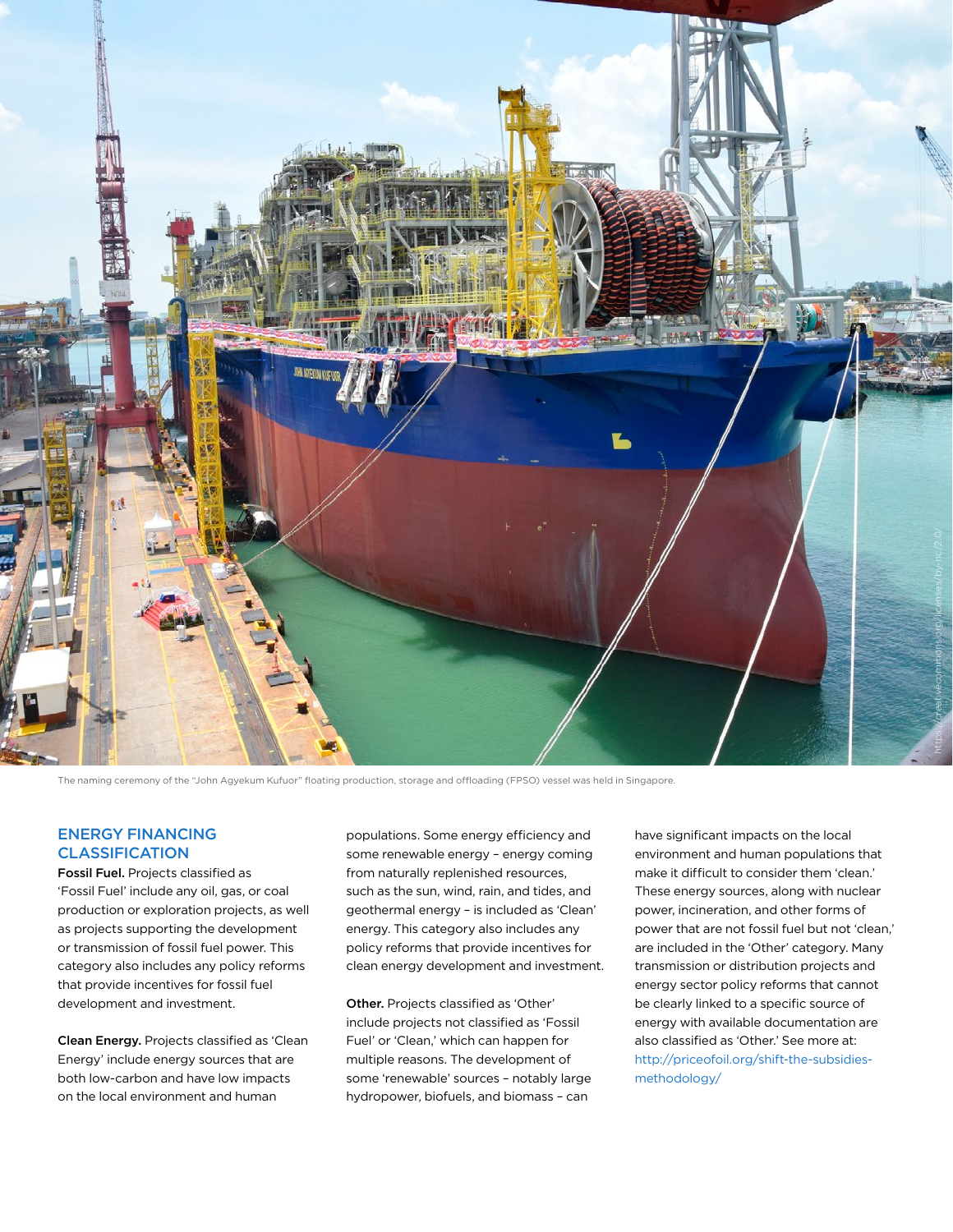

The naming ceremony of the "John Agyekum Kufuor" floating production, storage and offloading (FPSO) vessel was held in Singapore.

#### ENERGY FINANCING **CLASSIFICATION**

Fossil Fuel. Projects classified as 'Fossil Fuel' include any oil, gas, or coal production or exploration projects, as well as projects supporting the development or transmission of fossil fuel power. This category also includes any policy reforms that provide incentives for fossil fuel development and investment.

Clean Energy. Projects classified as 'Clean Energy' include energy sources that are both low-carbon and have low impacts on the local environment and human

populations. Some energy efficiency and some renewable energy – energy coming from naturally replenished resources, such as the sun, wind, rain, and tides, and geothermal energy – is included as 'Clean' energy. This category also includes any policy reforms that provide incentives for clean energy development and investment.

Other. Projects classified as 'Other' include projects not classified as 'Fossil Fuel' or 'Clean,' which can happen for multiple reasons. The development of some 'renewable' sources – notably large hydropower, biofuels, and biomass – can

have significant impacts on the local environment and human populations that make it difficult to consider them 'clean.' These energy sources, along with nuclear power, incineration, and other forms of power that are not fossil fuel but not 'clean,' are included in the 'Other' category. Many transmission or distribution projects and energy sector policy reforms that cannot be clearly linked to a specific source of energy with available documentation are also classified as 'Other.' See more at: [http://priceofoil.org/shift-the-subsidies](http://priceofoil.org/shift-the-subsidies-methodology/)[methodology/](http://priceofoil.org/shift-the-subsidies-methodology/)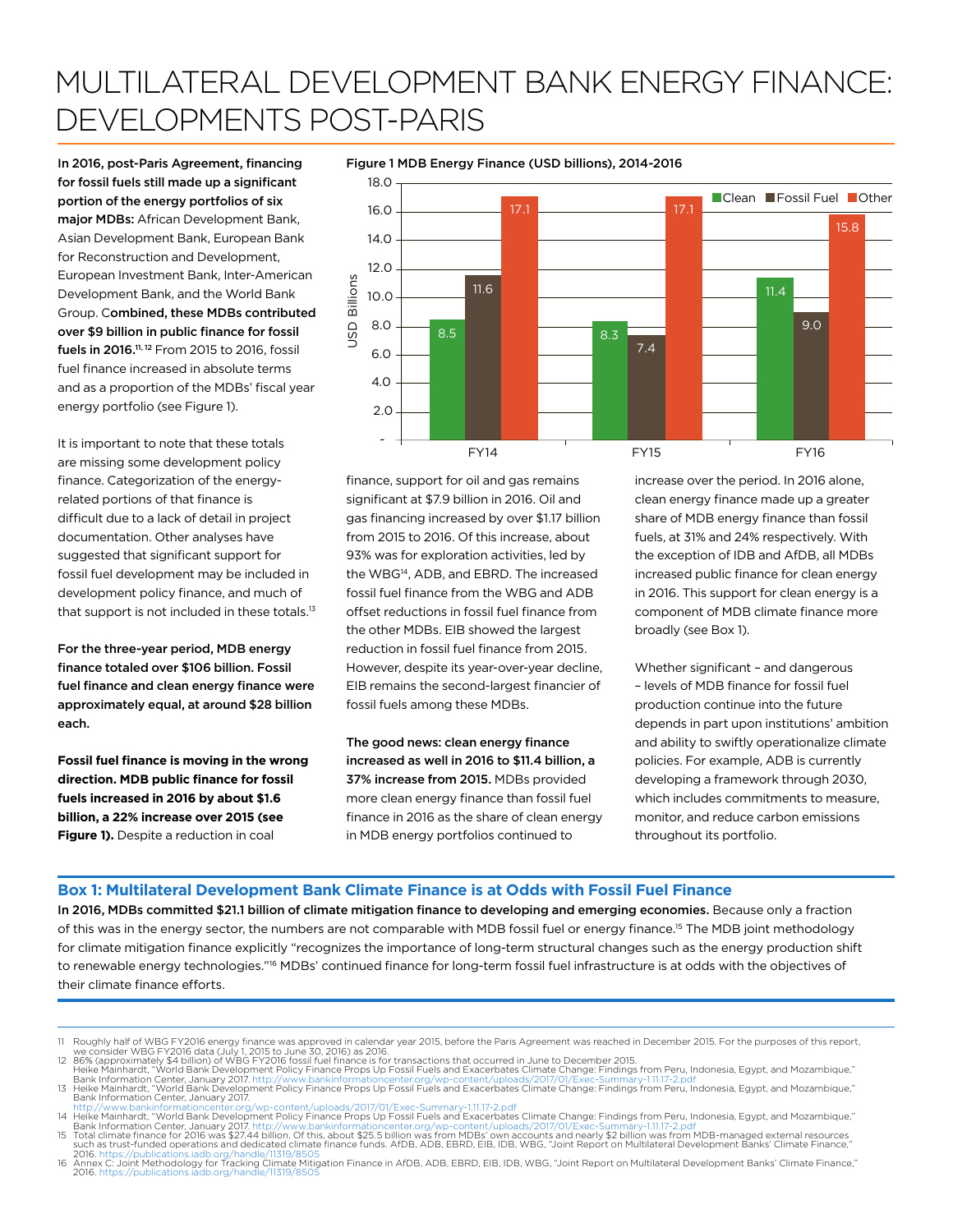### MULTILATERAL DEVELOPMENT BANK ENERGY FINANCE: DEVELOPMENTS POST-PARIS

In 2016, post-Paris Agreement, financing for fossil fuels still made up a significant portion of the energy portfolios of six major MDBs: African Development Bank, Asian Development Bank, European Bank for Reconstruction and Development, European Investment Bank, Inter-American Development Bank, and the World Bank Group. Combined, these MDBs contributed over \$9 billion in public finance for fossil fuels in 2016.<sup>11, 12</sup> From 2015 to 2016, fossil fuel finance increased in absolute terms and as a proportion of the MDBs' fiscal year energy portfolio (see Figure 1).

It is important to note that these totals are missing some development policy finance. Categorization of the energyrelated portions of that finance is difficult due to a lack of detail in project documentation. Other analyses have suggested that significant support for fossil fuel development may be included in development policy finance, and much of that support is not included in these totals.<sup>13</sup>

For the three-year period, MDB energy finance totaled over \$106 billion. Fossil fuel finance and clean energy finance were approximately equal, at around \$28 billion each.

**Fossil fuel finance is moving in the wrong direction. MDB public finance for fossil fuels increased in 2016 by about \$1.6 billion, a 22% increase over 2015 (see Figure 1).** Despite a reduction in coal

Figure 1 MDB Energy Finance (USD billions), 2014-2016



finance, support for oil and gas remains significant at \$7.9 billion in 2016. Oil and gas financing increased by over \$1.17 billion from 2015 to 2016. Of this increase, about 93% was for exploration activities, led by the WBG14, ADB, and EBRD. The increased fossil fuel finance from the WBG and ADB offset reductions in fossil fuel finance from the other MDBs. EIB showed the largest reduction in fossil fuel finance from 2015. However, despite its year-over-year decline, EIB remains the second-largest financier of fossil fuels among these MDBs.

The good news: clean energy finance increased as well in 2016 to \$11.4 billion, a 37% increase from 2015. MDBs provided more clean energy finance than fossil fuel finance in 2016 as the share of clean energy in MDB energy portfolios continued to

increase over the period. In 2016 alone, clean energy finance made up a greater share of MDB energy finance than fossil fuels, at 31% and 24% respectively. With the exception of IDB and AfDB, all MDBs increased public finance for clean energy in 2016. This support for clean energy is a component of MDB climate finance more broadly (see Box 1).

Whether significant – and dangerous – levels of MDB finance for fossil fuel production continue into the future depends in part upon institutions' ambition and ability to swiftly operationalize climate policies. For example, ADB is currently developing a framework through 2030, which includes commitments to measure, monitor, and reduce carbon emissions throughout its portfolio.

#### **Box 1: Multilateral Development Bank Climate Finance is at Odds with Fossil Fuel Finance**

In 2016, MDBs committed \$21.1 billion of climate mitigation finance to developing and emerging economies. Because only a fraction of this was in the energy sector, the numbers are not comparable with MDB fossil fuel or energy finance.<sup>15</sup> The MDB joint methodology for climate mitigation finance explicitly "recognizes the importance of long-term structural changes such as the energy production shift to renewable energy technologies."<sup>16</sup> MDBs' continued finance for long-term fossil fuel infrastructure is at odds with the objectives of their climate finance efforts.

16 Annex C: Joint Methodology for Tracking Climate Mitigation Finance in AfDB, ADB, EBRD, EIB, IDB, WBG, "Joint Report on Multilateral Development Banks' Climate Finance,"  $2016.$  https

<sup>11</sup> Roughly half of WBG FY2016 energy finance was approved in calendar year 2015, before the Paris Agreement was reached in December 2015. For the purposes of this report, we consider WBG FY2016 data (July 1, 2015 to June 30, 2016) as 2016. 12 86% (approximately \$4 billion) of WBG FY2016 fossil fuel finance is for transactions that occurred in June to December 2015.

<sup>&</sup>quot;Heike Mainhardt, "World Bank Development Policy Finance Props Up Fossil Fuels and Exacerbates Climate Change: Findings from Peru, Indonesia, Egypt, and Mozambique,"<br>Bank Information Center, Jamuary 2017. http://www.bankin

Bank Information Center, January 2017. htent/uploads/2017/01/Exec-Summary-1.11.17-2.pdf

<sup>14</sup> Heike Mainhardt, "World Bank Development Policy Finance Props Up Fossil Fuels and Exacerbates Climate Change: Findings from Peru, Indonesia, Egypt, and Mozambique," Bank Information Center, January 2017. http://www.bankinformationcenter.org/wp-content/uploads/2017/01/Exec-Summary-1.11.17-2.pdf

<sup>15</sup> Total climate finance for 2016 was \$27.44 billion. Of this, about \$25.5 billion was from MDBs' own accounts and nearly \$2 billion was from MDB-managed external resources<br>"such as trust-funded operations and dedicated cl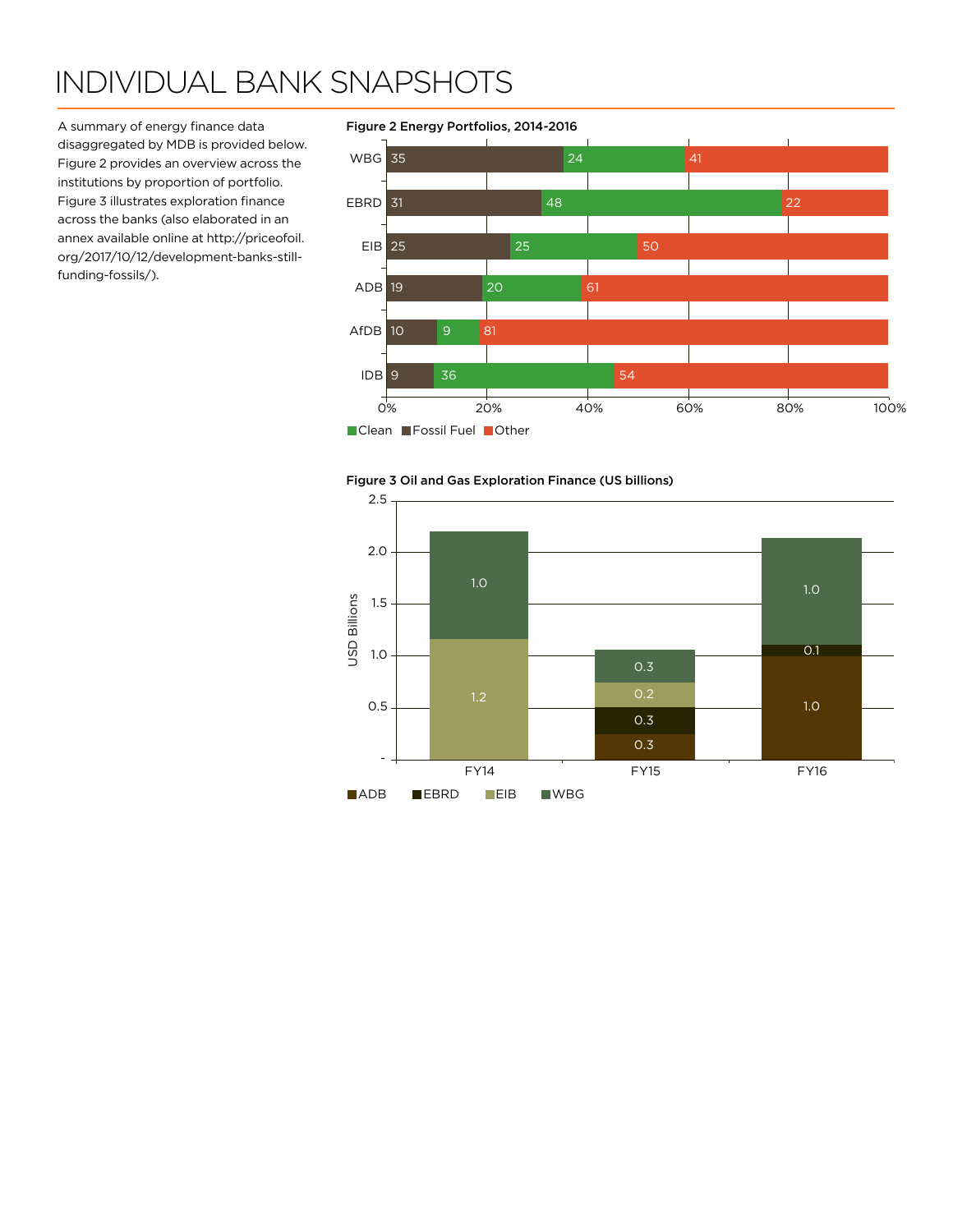### INDIVIDUAL BANK SNAPSHOTS

A summary of energy finance data disaggregated by MDB is provided below. Figure 2 provides an overview across the institutions by proportion of portfolio. Figure 3 illustrates exploration finance across the banks (also elaborated in an annex available online at [http://priceofoil.](http://priceofoil.org/2017/10/12/development-banks-still-funding-fossils/) [org/2017/10/12/development-banks-still](http://priceofoil.org/2017/10/12/development-banks-still-funding-fossils/)[funding-fossils](http://priceofoil.org/2017/10/12/development-banks-still-funding-fossils/)/).

Figure 2 Energy Portfolios, 2014-2016



Figure 3 Oil and Gas Exploration Finance (US billions)

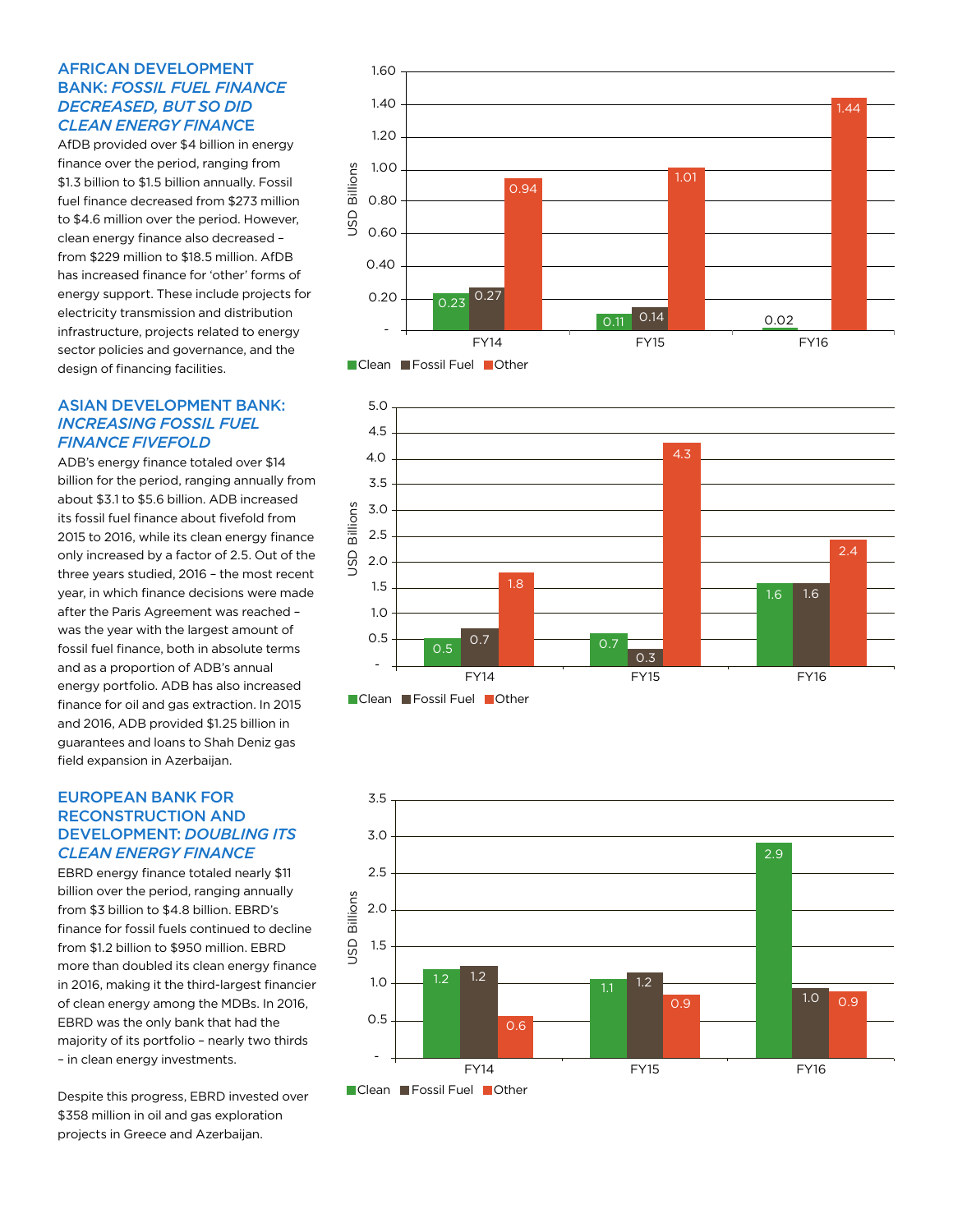#### AFRICAN DEVELOPMENT BANK: *FOSSIL FUEL FINANCE DECREASED, BUT SO DID*  **CLEAN ENERGY FINANCE**

AfDB provided over \$4 billion in energy finance over the period, ranging from \$1.3 billion to \$1.5 billion annually. Fossil fuel finance decreased from \$273 million to \$4.6 million over the period. However, clean energy finance also decreased – from \$229 million to \$18.5 million. AfDB has increased finance for 'other' forms of energy support. These include projects for electricity transmission and distribution infrastructure, projects related to energy sector policies and governance, and the design of financing facilities.

#### ASIAN DEVELOPMENT BANK: *INCREASING FOSSIL FUEL FINANCE FIVEFOLD*

ADB's energy finance totaled over \$14 billion for the period, ranging annually from about \$3.1 to \$5.6 billion. ADB increased its fossil fuel finance about fivefold from 2015 to 2016, while its clean energy finance only increased by a factor of 2.5. Out of the three years studied, 2016 – the most recent year, in which finance decisions were made after the Paris Agreement was reached – was the year with the largest amount of fossil fuel finance, both in absolute terms and as a proportion of ADB's annual energy portfolio. ADB has also increased finance for oil and gas extraction. In 2015 and 2016, ADB provided \$1.25 billion in guarantees and loans to Shah Deniz gas field expansion in Azerbaijan.

#### EUROPEAN BANK FOR RECONSTRUCTION AND DEVELOPMENT: *DOUBLING ITS CLEAN ENERGY FINANCE*

EBRD energy finance totaled nearly \$11 billion over the period, ranging annually from \$3 billion to \$4.8 billion. EBRD's finance for fossil fuels continued to decline from \$1.2 billion to \$950 million. EBRD more than doubled its clean energy finance in 2016, making it the third-largest financier of clean energy among the MDBs. In 2016, EBRD was the only bank that had the majority of its portfolio – nearly two thirds – in clean energy investments.

Despite this progress, EBRD invested over \$358 million in oil and gas exploration projects in Greece and Azerbaijan.







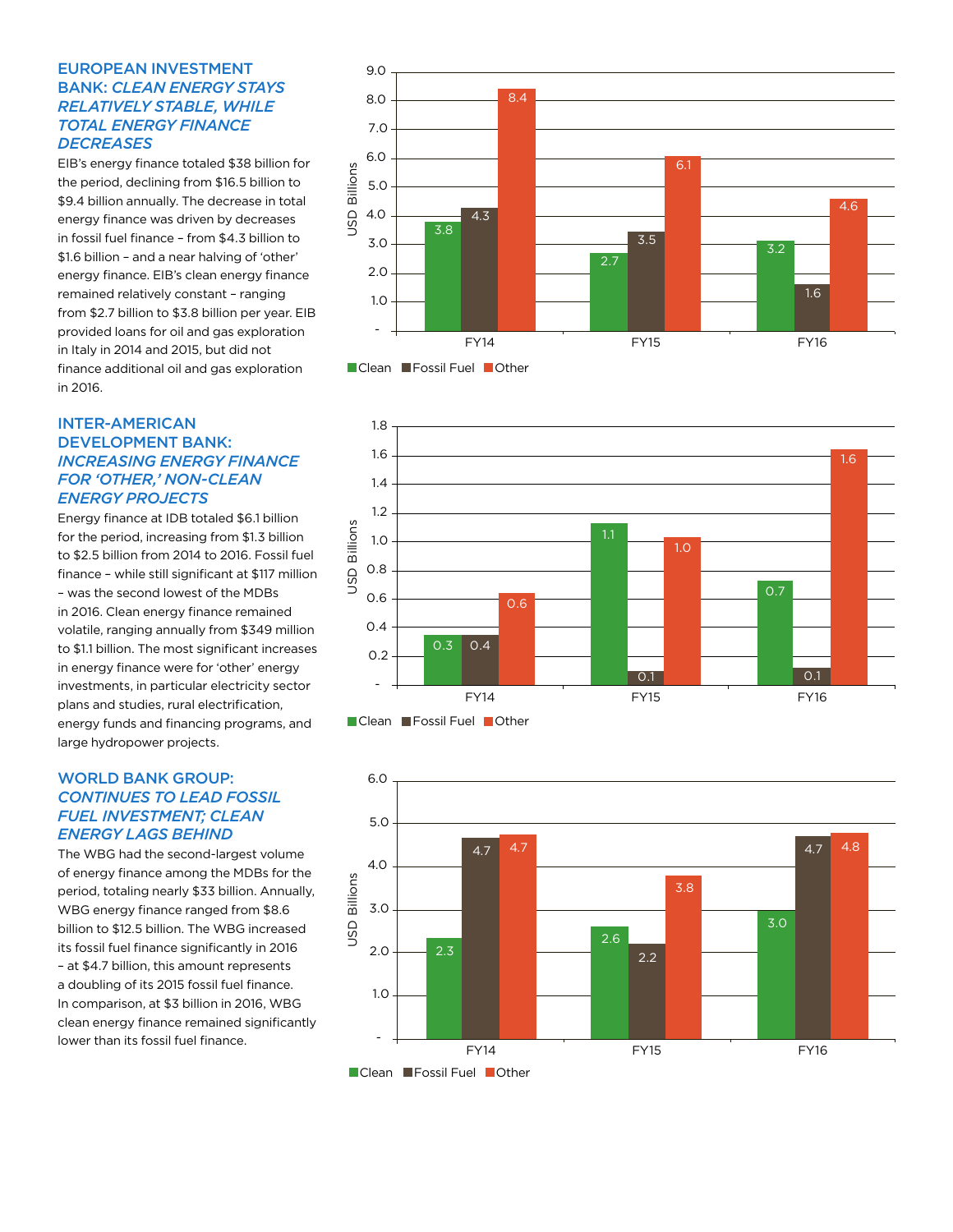#### EUROPEAN INVESTMENT BANK: *CLEAN ENERGY STAYS RELATIVELY STABLE, WHILE TOTAL ENERGY FINANCE DECREASES*

EIB's energy finance totaled \$38 billion for the period, declining from \$16.5 billion to \$9.4 billion annually. The decrease in total energy finance was driven by decreases in fossil fuel finance – from \$4.3 billion to \$1.6 billion – and a near halving of 'other' energy finance. EIB's clean energy finance remained relatively constant – ranging from \$2.7 billion to \$3.8 billion per year. EIB provided loans for oil and gas exploration in Italy in 2014 and 2015, but did not finance additional oil and gas exploration in 2016.

#### INTER-AMERICAN DEVELOPMENT BANK: *INCREASING ENERGY FINANCE FOR 'OTHER,' NON-CLEAN ENERGY PROJECTS*

Energy finance at IDB totaled \$6.1 billion for the period, increasing from \$1.3 billion to \$2.5 billion from 2014 to 2016. Fossil fuel finance – while still significant at \$117 million – was the second lowest of the MDBs in 2016. Clean energy finance remained volatile, ranging annually from \$349 million to \$1.1 billion. The most significant increases in energy finance were for 'other' energy investments, in particular electricity sector plans and studies, rural electrification, energy funds and financing programs, and large hydropower projects.

#### WORLD BANK GROUP: *CONTINUES TO LEAD FOSSIL FUEL INVESTMENT; CLEAN ENERGY LAGS BEHIND*

The WBG had the second-largest volume of energy finance among the MDBs for the period, totaling nearly \$33 billion. Annually, WBG energy finance ranged from \$8.6 billion to \$12.5 billion. The WBG increased its fossil fuel finance significantly in 2016 – at \$4.7 billion, this amount represents a doubling of its 2015 fossil fuel finance. In comparison, at \$3 billion in 2016, WBG clean energy finance remained significantly lower than its fossil fuel finance.